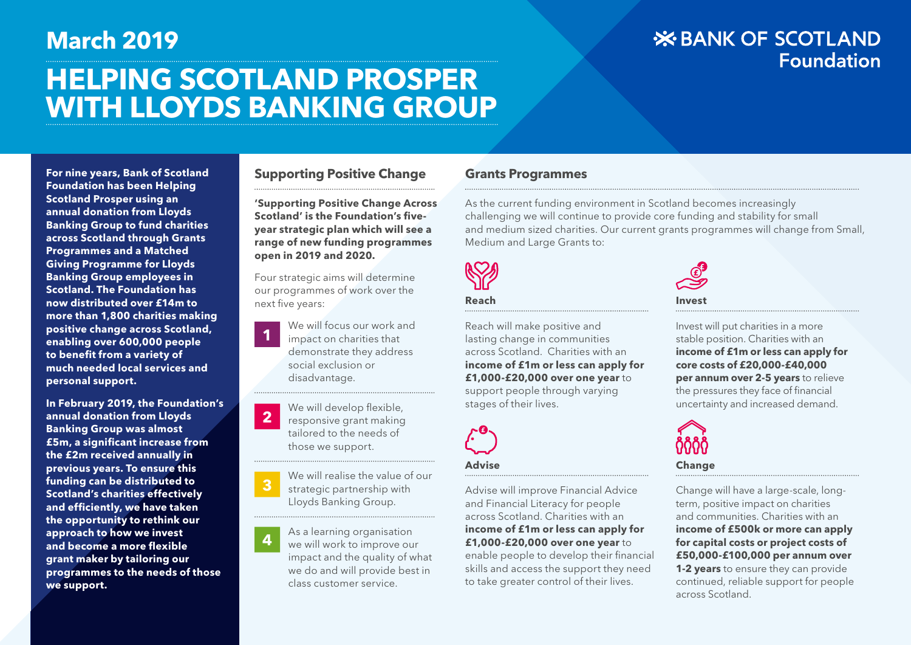# **HELPING SCOTLAND PROSPER WITH LLOYDS BANKING GROUP March 2019**

# **X BANK OF SCOTLAND Foundation**

**For nine years, Bank of Scotland Foundation has been Helping Scotland Prosper using an annual donation from Lloyds Banking Group to fund charities across Scotland through Grants Programmes and a Matched Giving Programme for Lloyds Banking Group employees in Scotland. The Foundation has now distributed over £14m to more than 1,800 charities making positive change across Scotland, enabling over 600,000 people to benefit from a variety of much needed local services and personal support.**

**In February 2019, the Foundation's annual donation from Lloyds Banking Group was almost £5m, a significant increase from the £2m received annually in previous years. To ensure this funding can be distributed to Scotland's charities effectively and efficiently, we have taken the opportunity to rethink our approach to how we invest and become a more flexible grant maker by tailoring our programmes to the needs of those we support.**

#### **Supporting Positive Change**

**'Supporting Positive Change Across Scotland' is the Foundation's fiveyear strategic plan which will see a range of new funding programmes open in 2019 and 2020.**

Four strategic aims will determine our programmes of work over the next five years:

We will focus our work and impact on charities that demonstrate they address social exclusion or disadvantage. **1**

We will develop flexible, responsive grant making tailored to the needs of those we support. **2**

We will realise the value of our strategic partnership with Lloyds Banking Group. **3**

As a learning organisation we will work to improve our impact and the quality of what we do and will provide best in class customer service. **4**

#### **Grants Programmes**

As the current funding environment in Scotland becomes increasingly challenging we will continue to provide core funding and stability for small and medium sized charities. Our current grants programmes will change from Small, Medium and Large Grants to:



#### **Reach**

Reach will make positive and lasting change in communities across Scotland. Charities with an **income of £1m or less can apply for £1,000-£20,000 over one year** to support people through varying stages of their lives.



#### **Advise**

Advise will improve Financial Advice and Financial Literacy for people across Scotland. Charities with an **income of £1m or less can apply for £1,000-£20,000 over one year** to enable people to develop their financial skills and access the support they need to take greater control of their lives.



Invest will put charities in a more stable position. Charities with an **income of £1m or less can apply for core costs of £20,000-£40,000 per annum over 2-5 years** to relieve the pressures they face of financial uncertainty and increased demand.



Change will have a large-scale, longterm, positive impact on charities and communities. Charities with an **income of £500k or more can apply for capital costs or project costs of £50,000-£100,000 per annum over 1-2 years** to ensure they can provide continued, reliable support for people across Scotland.